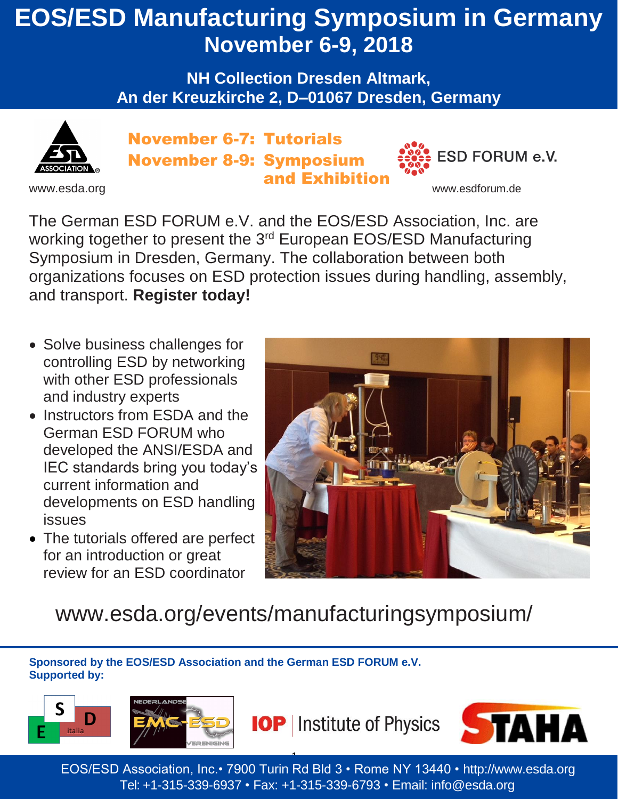## **EOS/ESD Manufacturing Symposium in Germany November 6-9, 2018**

**NH Collection Dresden Altmark, An der Kreuzkirche 2, D–01067 Dresden, Germany**



November 6-7: Tutorials November 8-9: Symposium and Exhibition



The German ESD FORUM e.V. and the EOS/ESD Association, Inc. are working together to present the 3<sup>rd</sup> European EOS/ESD Manufacturing Symposium in Dresden, Germany. The collaboration between both organizations focuses on ESD protection issues during handling, assembly, and transport. **Register today!**

- Solve business challenges for controlling ESD by networking with other ESD professionals and industry experts
- Instructors from ESDA and the German ESD FORUM who developed the ANSI/ESDA and IEC standards bring you today's current information and developments on ESD handling issues
- The tutorials offered are perfect for an introduction or great review for an ESD coordinator



**ESD FORUM e.V.** 

## [www.esda.org/events/manufacturingsymposium/](http://www.esda.org/events/manufacturingsymposium/)

**Sponsored by the EOS/ESD Association and the German ESD FORUM e.V. Supported by:**





**IOP** | Institute of Physics



1 EOS/ESD Association, Inc.• 7900 Turin Rd Bld 3 • Rome NY 13440 • [http://www.esda.org](http://www.esda.org/) Tel: +1-315-339-6937 • Fax: +1-315-339-6793 • Email: [info@esda.org](mailto:info@esda.org)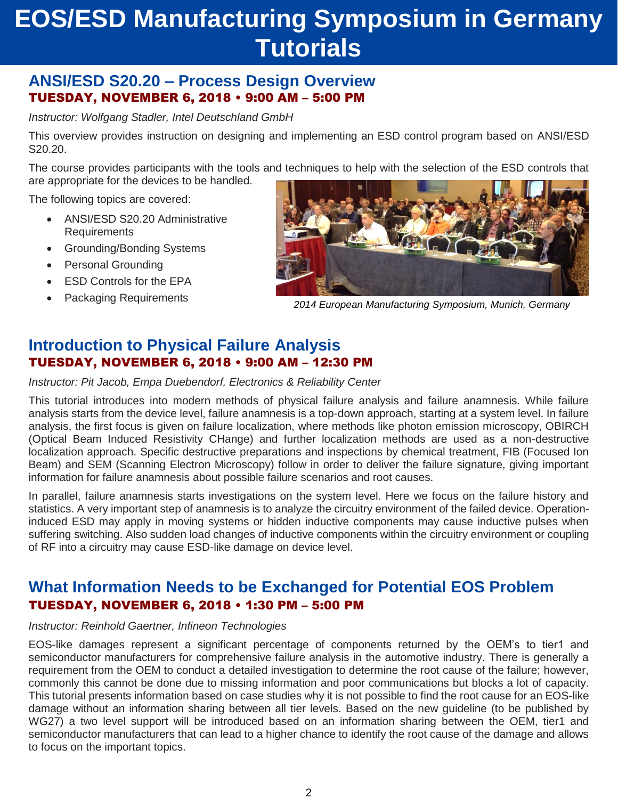### **ANSI/ESD S20.20 – Process Design Overview** TUESDAY, NOVEMBER 6, 2018 • 9:00 AM – 5:00 PM

*Instructor: Wolfgang Stadler, Intel Deutschland GmbH*

This overview provides instruction on designing and implementing an ESD control program based on ANSI/ESD S20.20.

The course provides participants with the tools and techniques to help with the selection of the ESD controls that are appropriate for the devices to be handled.

The following topics are covered:

- ANSI/ESD S20.20 Administrative **Requirements**
- Grounding/Bonding Systems
- Personal Grounding
- ESD Controls for the EPA
- Packaging Requirements



*2014 European Manufacturing Symposium, Munich, Germany*

### **Introduction to Physical Failure Analysis** TUESDAY, NOVEMBER 6, 2018 • 9:00 AM – 12:30 PM

*Instructor: Pit Jacob, Empa Duebendorf, Electronics & Reliability Center*

This tutorial introduces into modern methods of physical failure analysis and failure anamnesis. While failure analysis starts from the device level, failure anamnesis is a top-down approach, starting at a system level. In failure analysis, the first focus is given on failure localization, where methods like photon emission microscopy, OBIRCH (Optical Beam Induced Resistivity CHange) and further localization methods are used as a non-destructive localization approach. Specific destructive preparations and inspections by chemical treatment, FIB (Focused Ion Beam) and SEM (Scanning Electron Microscopy) follow in order to deliver the failure signature, giving important information for failure anamnesis about possible failure scenarios and root causes.

In parallel, failure anamnesis starts investigations on the system level. Here we focus on the failure history and statistics. A very important step of anamnesis is to analyze the circuitry environment of the failed device. Operationinduced ESD may apply in moving systems or hidden inductive components may cause inductive pulses when suffering switching. Also sudden load changes of inductive components within the circuitry environment or coupling of RF into a circuitry may cause ESD-like damage on device level.

### **What Information Needs to be Exchanged for Potential EOS Problem**  TUESDAY, NOVEMBER 6, 2018 • 1:30 PM – 5:00 PM

#### *Instructor: Reinhold Gaertner, Infineon Technologies*

EOS-like damages represent a significant percentage of components returned by the OEM's to tier1 and semiconductor manufacturers for comprehensive failure analysis in the automotive industry. There is generally a requirement from the OEM to conduct a detailed investigation to determine the root cause of the failure; however, commonly this cannot be done due to missing information and poor communications but blocks a lot of capacity. This tutorial presents information based on case studies why it is not possible to find the root cause for an EOS-like damage without an information sharing between all tier levels. Based on the new guideline (to be published by WG27) a two level support will be introduced based on an information sharing between the OEM, tier1 and semiconductor manufacturers that can lead to a higher chance to identify the root cause of the damage and allows to focus on the important topics.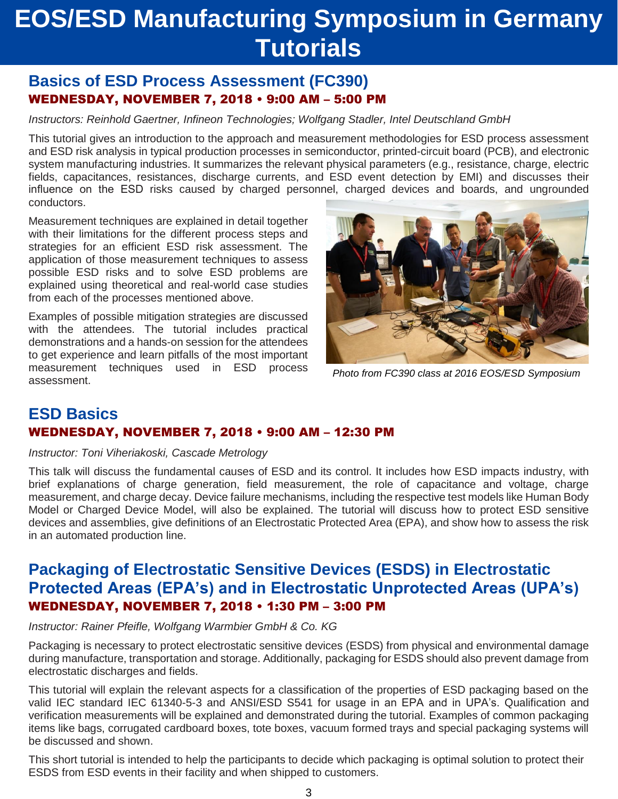### **Basics of ESD Process Assessment (FC390)** WEDNESDAY, NOVEMBER 7, 2018 • 9:00 AM – 5:00 PM

*Instructors: Reinhold Gaertner, Infineon Technologies; Wolfgang Stadler, Intel Deutschland GmbH*

This tutorial gives an introduction to the approach and measurement methodologies for ESD process assessment and ESD risk analysis in typical production processes in semiconductor, printed-circuit board (PCB), and electronic system manufacturing industries. It summarizes the relevant physical parameters (e.g., resistance, charge, electric fields, capacitances, resistances, discharge currents, and ESD event detection by EMI) and discusses their influence on the ESD risks caused by charged personnel, charged devices and boards, and ungrounded conductors.

Measurement techniques are explained in detail together with their limitations for the different process steps and strategies for an efficient ESD risk assessment. The application of those measurement techniques to assess possible ESD risks and to solve ESD problems are explained using theoretical and real-world case studies from each of the processes mentioned above.

Examples of possible mitigation strategies are discussed with the attendees. The tutorial includes practical demonstrations and a hands-on session for the attendees to get experience and learn pitfalls of the most important measurement techniques used in ESD process assessment.



*Photo from FC390 class at 2016 EOS/ESD Symposium*

### **ESD Basics** WEDNESDAY, NOVEMBER 7, 2018 • 9:00 AM – 12:30 PM

#### *Instructor: Toni Viheriakoski, Cascade Metrology*

This talk will discuss the fundamental causes of ESD and its control. It includes how ESD impacts industry, with brief explanations of charge generation, field measurement, the role of capacitance and voltage, charge measurement, and charge decay. Device failure mechanisms, including the respective test models like Human Body Model or Charged Device Model, will also be explained. The tutorial will discuss how to protect ESD sensitive devices and assemblies, give definitions of an Electrostatic Protected Area (EPA), and show how to assess the risk in an automated production line.

### **Packaging of Electrostatic Sensitive Devices (ESDS) in Electrostatic Protected Areas (EPA's) and in Electrostatic Unprotected Areas (UPA's)** WEDNESDAY, NOVEMBER 7, 2018 • 1:30 PM – 3:00 PM

#### *Instructor: Rainer Pfeifle, Wolfgang Warmbier GmbH & Co. KG*

Packaging is necessary to protect electrostatic sensitive devices (ESDS) from physical and environmental damage during manufacture, transportation and storage. Additionally, packaging for ESDS should also prevent damage from electrostatic discharges and fields.

This tutorial will explain the relevant aspects for a classification of the properties of ESD packaging based on the valid IEC standard IEC 61340-5-3 and ANSI/ESD S541 for usage in an EPA and in UPA's. Qualification and verification measurements will be explained and demonstrated during the tutorial. Examples of common packaging items like bags, corrugated cardboard boxes, tote boxes, vacuum formed trays and special packaging systems will be discussed and shown.

This short tutorial is intended to help the participants to decide which packaging is optimal solution to protect their ESDS from ESD events in their facility and when shipped to customers.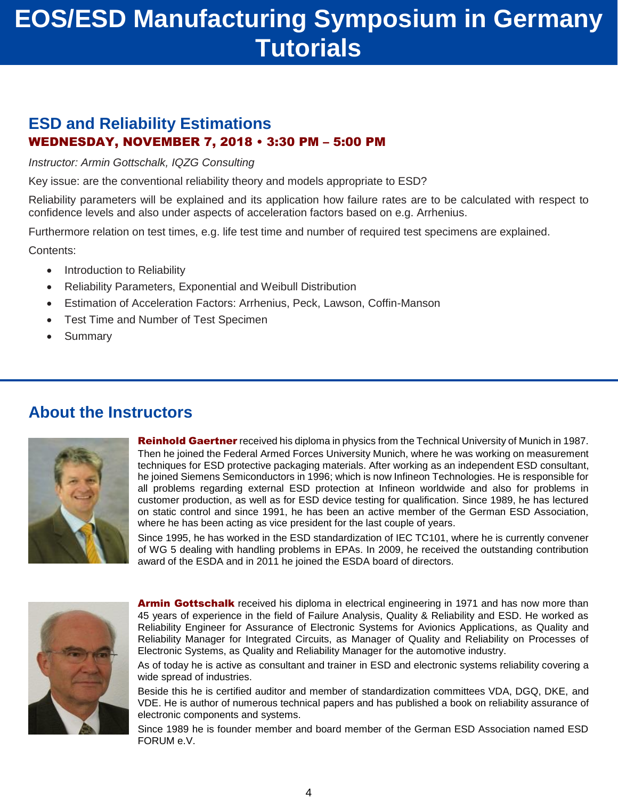### **ESD and Reliability Estimations** WEDNESDAY, NOVEMBER 7, 2018 • 3:30 PM – 5:00 PM

*Instructor: Armin Gottschalk, IQZG Consulting*

Key issue: are the conventional reliability theory and models appropriate to ESD?

Reliability parameters will be explained and its application how failure rates are to be calculated with respect to confidence levels and also under aspects of acceleration factors based on e.g. Arrhenius.

Furthermore relation on test times, e.g. life test time and number of required test specimens are explained.

Contents:

- Introduction to Reliability
- Reliability Parameters, Exponential and Weibull Distribution
- Estimation of Acceleration Factors: Arrhenius, Peck, Lawson, Coffin-Manson
- Test Time and Number of Test Specimen
- Summary

### **About the Instructors**



**Reinhold Gaertner** received his diploma in physics from the Technical University of Munich in 1987. Then he joined the Federal Armed Forces University Munich, where he was working on measurement techniques for ESD protective packaging materials. After working as an independent ESD consultant, he joined Siemens Semiconductors in 1996; which is now Infineon Technologies. He is responsible for all problems regarding external ESD protection at Infineon worldwide and also for problems in customer production, as well as for ESD device testing for qualification. Since 1989, he has lectured on static control and since 1991, he has been an active member of the German ESD Association, where he has been acting as vice president for the last couple of years.

Since 1995, he has worked in the ESD standardization of IEC TC101, where he is currently convener of WG 5 dealing with handling problems in EPAs. In 2009, he received the outstanding contribution award of the ESDA and in 2011 he joined the ESDA board of directors.



**Armin Gottschalk** received his diploma in electrical engineering in 1971 and has now more than 45 years of experience in the field of Failure Analysis, Quality & Reliability and ESD. He worked as Reliability Engineer for Assurance of Electronic Systems for Avionics Applications, as Quality and Reliability Manager for Integrated Circuits, as Manager of Quality and Reliability on Processes of Electronic Systems, as Quality and Reliability Manager for the automotive industry.

As of today he is active as consultant and trainer in ESD and electronic systems reliability covering a wide spread of industries.

Beside this he is certified auditor and member of standardization committees VDA, DGQ, DKE, and VDE. He is author of numerous technical papers and has published a book on reliability assurance of electronic components and systems.

Since 1989 he is founder member and board member of the German ESD Association named ESD FORUM e.V.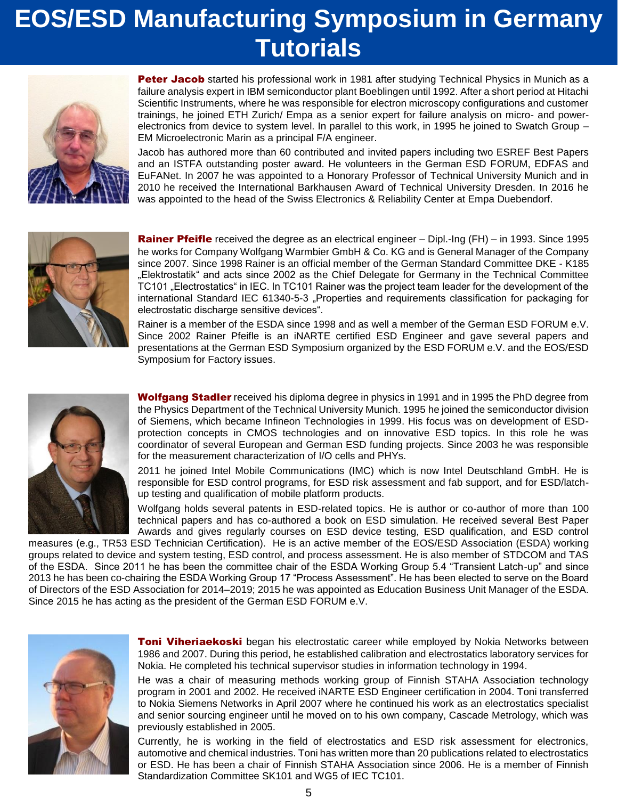

**Peter Jacob** started his professional work in 1981 after studying Technical Physics in Munich as a failure analysis expert in IBM semiconductor plant Boeblingen until 1992. After a short period at Hitachi Scientific Instruments, where he was responsible for electron microscopy configurations and customer trainings, he joined ETH Zurich/ Empa as a senior expert for failure analysis on micro- and powerelectronics from device to system level. In parallel to this work, in 1995 he joined to Swatch Group – EM Microelectronic Marin as a principal F/A engineer.

Jacob has authored more than 60 contributed and invited papers including two ESREF Best Papers and an ISTFA outstanding poster award. He volunteers in the German ESD FORUM, EDFAS and EuFANet. In 2007 he was appointed to a Honorary Professor of Technical University Munich and in 2010 he received the International Barkhausen Award of Technical University Dresden. In 2016 he was appointed to the head of the Swiss Electronics & Reliability Center at Empa Duebendorf.



**Rainer Pfeifle** received the degree as an electrical engineer – Dipl.-Ing (FH) – in 1993. Since 1995 he works for Company Wolfgang Warmbier GmbH & Co. KG and is General Manager of the Company since 2007. Since 1998 Rainer is an official member of the German Standard Committee DKE - K185 "Elektrostatik" and acts since 2002 as the Chief Delegate for Germany in the Technical Committee TC101 "Electrostatics" in IEC. In TC101 Rainer was the project team leader for the development of the international Standard IEC 61340-5-3 "Properties and requirements classification for packaging for electrostatic discharge sensitive devices".

Rainer is a member of the ESDA since 1998 and as well a member of the German ESD FORUM e.V. Since 2002 Rainer Pfeifle is an iNARTE certified ESD Engineer and gave several papers and presentations at the German ESD Symposium organized by the ESD FORUM e.V. and the EOS/ESD Symposium for Factory issues.



**Wolfgang Stadler** received his diploma degree in physics in 1991 and in 1995 the PhD degree from the Physics Department of the Technical University Munich. 1995 he joined the semiconductor division of Siemens, which became Infineon Technologies in 1999. His focus was on development of ESDprotection concepts in CMOS technologies and on innovative ESD topics. In this role he was coordinator of several European and German ESD funding projects. Since 2003 he was responsible for the measurement characterization of I/O cells and PHYs.

2011 he joined Intel Mobile Communications (IMC) which is now Intel Deutschland GmbH. He is responsible for ESD control programs, for ESD risk assessment and fab support, and for ESD/latchup testing and qualification of mobile platform products.

Wolfgang holds several patents in ESD-related topics. He is author or co-author of more than 100 technical papers and has co-authored a book on ESD simulation. He received several Best Paper Awards and gives regularly courses on ESD device testing, ESD qualification, and ESD control

measures (e.g., TR53 ESD Technician Certification). He is an active member of the EOS/ESD Association (ESDA) working groups related to device and system testing, ESD control, and process assessment. He is also member of STDCOM and TAS of the ESDA. Since 2011 he has been the committee chair of the ESDA Working Group 5.4 "Transient Latch-up" and since 2013 he has been co-chairing the ESDA Working Group 17 "Process Assessment". He has been elected to serve on the Board of Directors of the ESD Association for 2014–2019; 2015 he was appointed as Education Business Unit Manager of the ESDA. Since 2015 he has acting as the president of the German ESD FORUM e.V.



**Toni Viheriaekoski** began his electrostatic career while employed by Nokia Networks between 1986 and 2007. During this period, he established calibration and electrostatics laboratory services for Nokia. He completed his technical supervisor studies in information technology in 1994.

He was a chair of measuring methods working group of Finnish STAHA Association technology program in 2001 and 2002. He received iNARTE ESD Engineer certification in 2004. Toni transferred to Nokia Siemens Networks in April 2007 where he continued his work as an electrostatics specialist and senior sourcing engineer until he moved on to his own company, Cascade Metrology, which was previously established in 2005.

Currently, he is working in the field of electrostatics and ESD risk assessment for electronics, automotive and chemical industries. Toni has written more than 20 publications related to electrostatics or ESD. He has been a chair of Finnish STAHA Association since 2006. He is a member of Finnish Standardization Committee SK101 and WG5 of IEC TC101.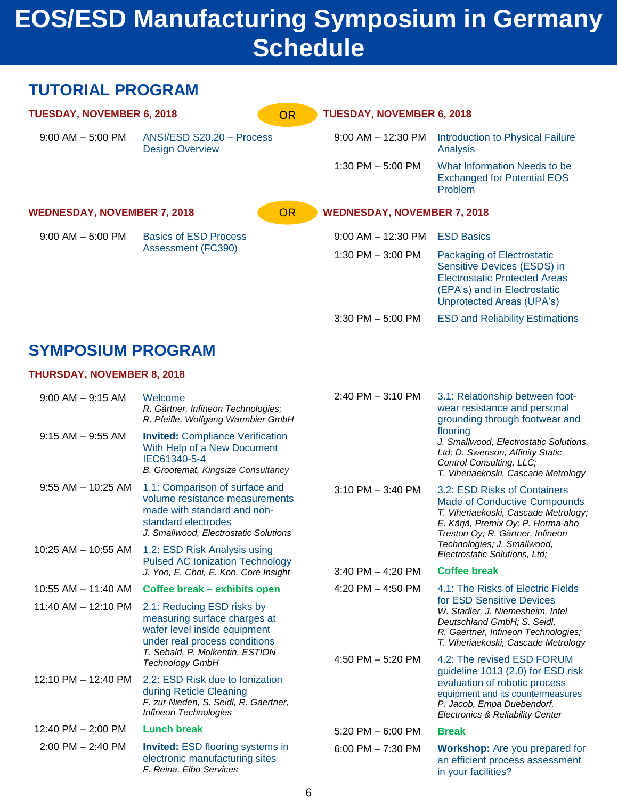# **EOS/ESD Manufacturing Symposium in Germany Schedule**

#### **TUTORIAL PROGRAM TUESDAY, NOVEMBER 6, 2018** 9:00 AM – 5:00 PM ANSI/ESD S20.20 – Process Design Overview **WEDNESDAY, NOVEMBER 7, 2018** 9:00 AM – 5:00 PM Basics of ESD Process Assessment (FC390) **TUESDAY, NOVEMBER 6, 2018** 9:00 AM – 12:30 PM Introduction to Physical Failure Analysis 1:30 PM – 5:00 PM What Information Needs to be Exchanged for Potential EOS Problem **WEDNESDAY, NOVEMBER 7, 2018** 9:00 AM – 12:30 PM ESD Basics 1:30 PM – 3:00 PM Packaging of Electrostatic Sensitive Devices (ESDS) in Electrostatic Protected Areas (EPA's) and in Electrostatic Unprotected Areas (UPA's) OR OR

## **SYMPOSIUM PROGRAM**

#### **THURSDAY, NOVEMBER 8, 2018**

| $9:00$ AM $-$ 9:15 AM   | Welcome<br>R. Gärtner, Infineon Technologies;<br>R. Pfeifle, Wolfgang Warmbier GmbH                                                                             | $2:40$ PM $-3:10$ PM                                                                                                                                                       | 3.1: Relationship between foot-<br>wear resistance and personal<br>grounding through footwear and                                                                                    |  |
|-------------------------|-----------------------------------------------------------------------------------------------------------------------------------------------------------------|----------------------------------------------------------------------------------------------------------------------------------------------------------------------------|--------------------------------------------------------------------------------------------------------------------------------------------------------------------------------------|--|
| $9:15$ AM $-$ 9:55 AM   | <b>Invited: Compliance Verification</b><br>With Help of a New Document<br>IEC61340-5-4<br>B. Grootemat, Kingsize Consultancy                                    |                                                                                                                                                                            | flooring<br>J. Smallwood, Electrostatic Solutions,<br>Ltd; D. Swenson, Affinity Static<br>Control Consulting, LLC;<br>T. Viheriaekoski, Cascade Metrology                            |  |
| $9:55$ AM $- 10:25$ AM  | 1.1: Comparison of surface and<br>volume resistance measurements<br>made with standard and non-<br>standard electrodes<br>J. Smallwood, Electrostatic Solutions | $3:10$ PM $-3:40$ PM                                                                                                                                                       | 3.2: ESD Risks of Containers<br><b>Made of Conductive Compounds</b><br>T. Viheriaekoski, Cascade Metrology;<br>E. Kärjä, Premix Oy; P. Horma-aho<br>Treston Oy; R. Gärtner, Infineon |  |
| 10:25 AM - 10:55 AM     | 1.2: ESD Risk Analysis using<br><b>Pulsed AC Ionization Technology</b><br>J. Yoo, E. Choi, E. Koo, Core Insight                                                 |                                                                                                                                                                            | Technologies; J. Smallwood,<br>Electrostatic Solutions, Ltd;                                                                                                                         |  |
|                         |                                                                                                                                                                 | $3:40$ PM $-$ 4:20 PM                                                                                                                                                      | <b>Coffee break</b>                                                                                                                                                                  |  |
| 10:55 AM - 11:40 AM     | Coffee break - exhibits open                                                                                                                                    | 4:20 PM $-$ 4:50 PM                                                                                                                                                        | 4.1: The Risks of Electric Fields                                                                                                                                                    |  |
| $11:40$ AM $- 12:10$ PM | 2.1: Reducing ESD risks by<br>measuring surface charges at<br>wafer level inside equipment<br>under real process conditions                                     | for ESD Sensitive Devices<br>W. Stadler, J. Niemesheim, Intel<br>Deutschland GmbH; S. Seidl,<br>R. Gaertner, Infineon Technologies;<br>T. Viheriaekoski, Cascade Metrology |                                                                                                                                                                                      |  |
|                         | T. Sebald, P. Molkentin, ESTION<br><b>Technology GmbH</b>                                                                                                       | 4:50 PM - 5:20 PM                                                                                                                                                          | 4.2: The revised ESD FORUM                                                                                                                                                           |  |
| 12:10 PM - 12:40 PM     | 2.2: ESD Risk due to lonization<br>during Reticle Cleaning<br>F. zur Nieden, S. Seidl, R. Gaertner,<br>Infineon Technologies                                    |                                                                                                                                                                            | guideline 1013 (2.0) for ESD risk<br>evaluation of robotic process<br>equipment and its countermeasures<br>P. Jacob, Empa Duebendorf,<br><b>Electronics &amp; Reliability Center</b> |  |
| 12:40 PM - 2:00 PM      | <b>Lunch break</b>                                                                                                                                              | $5:20$ PM $-6:00$ PM                                                                                                                                                       | <b>Break</b>                                                                                                                                                                         |  |
| $2:00$ PM $- 2:40$ PM   | <b>Invited:</b> ESD flooring systems in<br>electronic manufacturing sites<br>F. Reina, Elbo Services                                                            | 6:00 PM $- 7:30$ PM                                                                                                                                                        | <b>Workshop:</b> Are you prepared for<br>an efficient process assessment<br>in your facilities?                                                                                      |  |

3:30 PM – 5:00 PM ESD and Reliability Estimations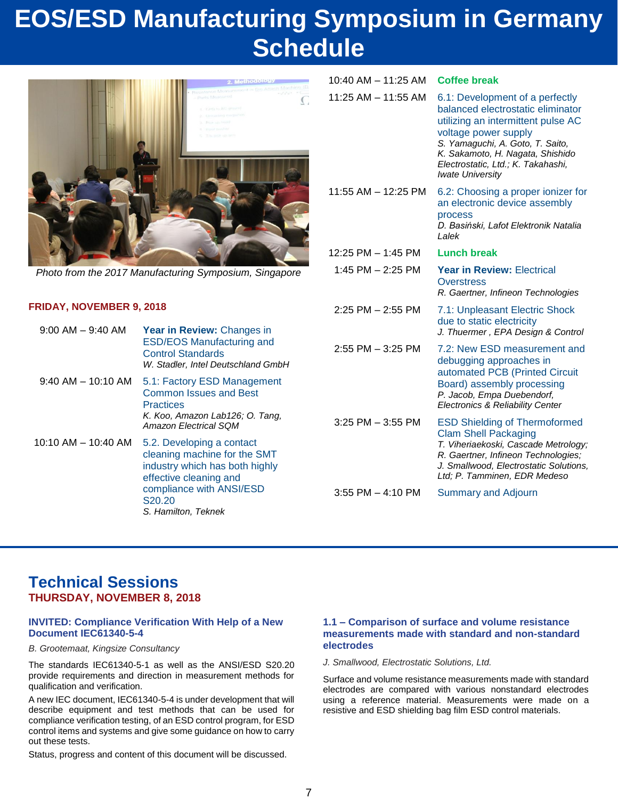# **EOS/ESD Manufacturing Symposium in Germany Schedule**



*Photo from the 2017 Manufacturing Symposium, Singapore*

#### **FRIDAY, NOVEMBER 9, 2018**

| $9:00$ AM $-$ 9:40 AM   | Year in Review: Changes in<br><b>ESD/EOS Manufacturing and</b><br><b>Control Standards</b><br>W. Stadler, Intel Deutschland GmbH                                                   |
|-------------------------|------------------------------------------------------------------------------------------------------------------------------------------------------------------------------------|
| $9:40$ AM $-$ 10:10 AM  | 5.1: Factory ESD Management<br><b>Common Issues and Best</b><br><b>Practices</b><br>K. Koo, Amazon Lab126; O. Tang,<br><b>Amazon Electrical SQM</b>                                |
| $10:10$ AM $-$ 10:40 AM | 5.2. Developing a contact<br>cleaning machine for the SMT<br>industry which has both highly<br>effective cleaning and<br>compliance with ANSI/ESD<br>S20.20<br>S. Hamilton, Teknek |

#### 11:25 AM – 11:55 AM 6.1: Development of a perfectly balanced electrostatic eliminator utilizing an intermittent pulse AC voltage power supply *S. Yamaguchi, A. Goto, T. Saito, K. Sakamoto, H. Nagata, Shishido Electrostatic, Ltd.; K. Takahashi, Iwate University* 11:55 AM – 12:25 PM 6.2: Choosing a proper ionizer for an electronic device assembly process *D. Basiński, Lafot Elektronik Natalia Lalek* 12:25 PM – 1:45 PM **Lunch break** 1:45 PM – 2:25 PM **Year in Review:** Electrical **Overstress** *R. Gaertner, Infineon Technologies* 2:25 PM – 2:55 PM 7.1: Unpleasant Electric Shock due to static electricity *J. Thuermer , EPA Design & Control* 2:55 PM  $-$  3:25 PM  $-$  7.2: New ESD measurement and debugging approaches in automated PCB (Printed Circuit Board) assembly processing *P. Jacob, Empa Duebendorf, Electronics & Reliability Center* 3:25 PM – 3:55 PM ESD Shielding of Thermoformed Clam Shell Packaging *T. Viheriaekoski, Cascade Metrology; R. Gaertner, Infineon Technologies; J. Smallwood, Electrostatic Solutions, Ltd; P. Tamminen, EDR Medeso*

10:40 AM – 11:25 AM **Coffee break**

3:55 PM – 4:10 PM Summary and Adjourn

### **Technical Sessions THURSDAY, NOVEMBER 8, 2018**

#### **INVITED: Compliance Verification With Help of a New Document IEC61340-5-4**

*B. Grootemaat, Kingsize Consultancy*

The standards IEC61340-5-1 as well as the ANSI/ESD S20.20 provide requirements and direction in measurement methods for qualification and verification.

A new IEC document, IEC61340-5-4 is under development that will describe equipment and test methods that can be used for compliance verification testing, of an ESD control program, for ESD control items and systems and give some guidance on how to carry out these tests.

Status, progress and content of this document will be discussed.

#### **1.1 – Comparison of surface and volume resistance measurements made with standard and non-standard electrodes**

*J. Smallwood, Electrostatic Solutions, Ltd.*

Surface and volume resistance measurements made with standard electrodes are compared with various nonstandard electrodes using a reference material. Measurements were made on a resistive and ESD shielding bag film ESD control materials.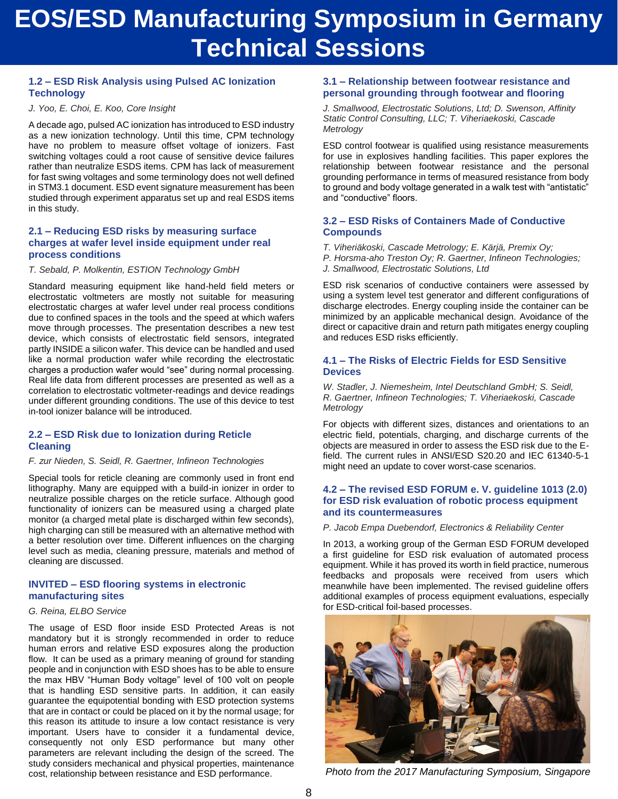# **EOS/ESD Manufacturing Symposium in Germany Technical Sessions**

#### **1.2 – ESD Risk Analysis using Pulsed AC Ionization Technology**

#### *J. Yoo, E. Choi, E. Koo, Core Insight*

A decade ago, pulsed AC ionization has introduced to ESD industry as a new ionization technology. Until this time, CPM technology have no problem to measure offset voltage of ionizers. Fast switching voltages could a root cause of sensitive device failures rather than neutralize ESDS items. CPM has lack of measurement for fast swing voltages and some terminology does not well defined in STM3.1 document. ESD event signature measurement has been studied through experiment apparatus set up and real ESDS items in this study.

#### **2.1 – Reducing ESD risks by measuring surface charges at wafer level inside equipment under real process conditions**

#### *T. Sebald, P. Molkentin, ESTION Technology GmbH*

Standard measuring equipment like hand-held field meters or electrostatic voltmeters are mostly not suitable for measuring electrostatic charges at wafer level under real process conditions due to confined spaces in the tools and the speed at which wafers move through processes. The presentation describes a new test device, which consists of electrostatic field sensors, integrated partly INSIDE a silicon wafer. This device can be handled and used like a normal production wafer while recording the electrostatic charges a production wafer would "see" during normal processing. Real life data from different processes are presented as well as a correlation to electrostatic voltmeter-readings and device readings under different grounding conditions. The use of this device to test in-tool ionizer balance will be introduced.

#### **2.2 – ESD Risk due to Ionization during Reticle Cleaning**

#### *F. zur Nieden, S. Seidl, R. Gaertner, Infineon Technologies*

Special tools for reticle cleaning are commonly used in front end lithography. Many are equipped with a build-in ionizer in order to neutralize possible charges on the reticle surface. Although good functionality of ionizers can be measured using a charged plate monitor (a charged metal plate is discharged within few seconds), high charging can still be measured with an alternative method with a better resolution over time. Different influences on the charging level such as media, cleaning pressure, materials and method of cleaning are discussed.

#### **INVITED – ESD flooring systems in electronic manufacturing sites**

#### *G. Reina, ELBO Service*

The usage of ESD floor inside ESD Protected Areas is not mandatory but it is strongly recommended in order to reduce human errors and relative ESD exposures along the production flow. It can be used as a primary meaning of ground for standing people and in conjunction with ESD shoes has to be able to ensure the max HBV "Human Body voltage" level of 100 volt on people that is handling ESD sensitive parts. In addition, it can easily guarantee the equipotential bonding with ESD protection systems that are in contact or could be placed on it by the normal usage; for this reason its attitude to insure a low contact resistance is very important. Users have to consider it a fundamental device, consequently not only ESD performance but many other parameters are relevant including the design of the screed. The study considers mechanical and physical properties, maintenance cost, relationship between resistance and ESD performance.

#### **3.1 – Relationship between footwear resistance and personal grounding through footwear and flooring**

*J. Smallwood, Electrostatic Solutions, Ltd; D. Swenson, Affinity Static Control Consulting, LLC; T. Viheriaekoski, Cascade Metrology*

ESD control footwear is qualified using resistance measurements for use in explosives handling facilities. This paper explores the relationship between footwear resistance and the personal grounding performance in terms of measured resistance from body to ground and body voltage generated in a walk test with "antistatic" and "conductive" floors.

#### **3.2 – ESD Risks of Containers Made of Conductive Compounds**

*T. Viheriäkoski, Cascade Metrology; E. Kärjä, Premix Oy;* 

*P. Horsma-aho Treston Oy; R. Gaertner, Infineon Technologies;* 

*J. Smallwood, Electrostatic Solutions, Ltd*

ESD risk scenarios of conductive containers were assessed by using a system level test generator and different configurations of discharge electrodes. Energy coupling inside the container can be minimized by an applicable mechanical design. Avoidance of the direct or capacitive drain and return path mitigates energy coupling and reduces ESD risks efficiently.

#### **4.1 – The Risks of Electric Fields for ESD Sensitive Devices**

*W. Stadler, J. Niemesheim, Intel Deutschland GmbH; S. Seidl, R. Gaertner, Infineon Technologies; T. Viheriaekoski, Cascade Metrology*

For objects with different sizes, distances and orientations to an electric field, potentials, charging, and discharge currents of the objects are measured in order to assess the ESD risk due to the Efield. The current rules in ANSI/ESD S20.20 and IEC 61340-5-1 might need an update to cover worst-case scenarios.

#### **4.2 – The revised ESD FORUM e. V. guideline 1013 (2.0) for ESD risk evaluation of robotic process equipment and its countermeasures**

*P. Jacob Empa Duebendorf, Electronics & Reliability Center*

In 2013, a working group of the German ESD FORUM developed a first guideline for ESD risk evaluation of automated process equipment. While it has proved its worth in field practice, numerous feedbacks and proposals were received from users which meanwhile have been implemented. The revised guideline offers additional examples of process equipment evaluations, especially for ESD-critical foil-based processes.



*Photo from the 2017 Manufacturing Symposium, Singapore*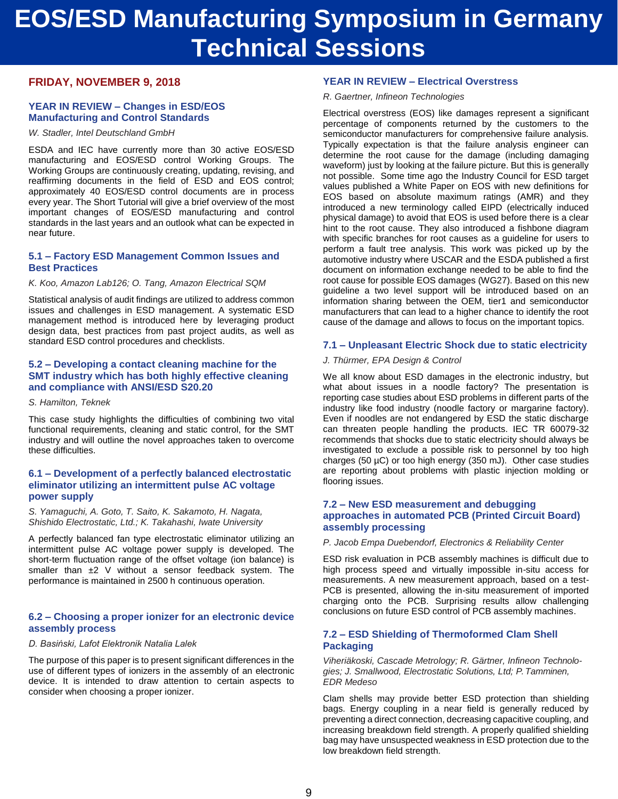# **EOS/ESD Manufacturing Symposium in Germany Technical Sessions**

#### **FRIDAY, NOVEMBER 9, 2018**

#### **YEAR IN REVIEW – Changes in ESD/EOS Manufacturing and Control Standards**

*W. Stadler, Intel Deutschland GmbH*

ESDA and IEC have currently more than 30 active EOS/ESD manufacturing and EOS/ESD control Working Groups. The Working Groups are continuously creating, updating, revising, and reaffirming documents in the field of ESD and EOS control; approximately 40 EOS/ESD control documents are in process every year. The Short Tutorial will give a brief overview of the most important changes of EOS/ESD manufacturing and control standards in the last years and an outlook what can be expected in near future.

#### **5.1 – Factory ESD Management Common Issues and Best Practices**

*K. Koo, Amazon Lab126; O. Tang, Amazon Electrical SQM*

Statistical analysis of audit findings are utilized to address common issues and challenges in ESD management. A systematic ESD management method is introduced here by leveraging product design data, best practices from past project audits, as well as standard ESD control procedures and checklists.

#### **5.2 – Developing a contact cleaning machine for the SMT industry which has both highly effective cleaning and compliance with ANSI/ESD S20.20**

#### *S. Hamilton, Teknek*

This case study highlights the difficulties of combining two vital functional requirements, cleaning and static control, for the SMT industry and will outline the novel approaches taken to overcome these difficulties.

#### **6.1 – Development of a perfectly balanced electrostatic eliminator utilizing an intermittent pulse AC voltage power supply**

*S. Yamaguchi, A. Goto, T. Saito, K. Sakamoto, H. Nagata, Shishido Electrostatic, Ltd.; K. Takahashi, Iwate University*

A perfectly balanced fan type electrostatic eliminator utilizing an intermittent pulse AC voltage power supply is developed. The short-term fluctuation range of the offset voltage (ion balance) is smaller than  $\pm 2$  V without a sensor feedback system. The performance is maintained in 2500 h continuous operation.

#### **6.2 – Choosing a proper ionizer for an electronic device assembly process**

#### *D. Basiński, Lafot Elektronik Natalia Lalek*

The purpose of this paper is to present significant differences in the use of different types of ionizers in the assembly of an electronic device. It is intended to draw attention to certain aspects to consider when choosing a proper ionizer.

#### **YEAR IN REVIEW – Electrical Overstress**

*R. Gaertner, Infineon Technologies*

Electrical overstress (EOS) like damages represent a significant percentage of components returned by the customers to the semiconductor manufacturers for comprehensive failure analysis. Typically expectation is that the failure analysis engineer can determine the root cause for the damage (including damaging waveform) just by looking at the failure picture. But this is generally not possible. Some time ago the Industry Council for ESD target values published a White Paper on EOS with new definitions for EOS based on absolute maximum ratings (AMR) and they introduced a new terminology called EIPD (electrically induced physical damage) to avoid that EOS is used before there is a clear hint to the root cause. They also introduced a fishbone diagram with specific branches for root causes as a guideline for users to perform a fault tree analysis. This work was picked up by the automotive industry where USCAR and the ESDA published a first document on information exchange needed to be able to find the root cause for possible EOS damages (WG27). Based on this new guideline a two level support will be introduced based on an information sharing between the OEM, tier1 and semiconductor manufacturers that can lead to a higher chance to identify the root cause of the damage and allows to focus on the important topics.

#### **7.1 – Unpleasant Electric Shock due to static electricity**

#### *J. Thürmer, EPA Design & Control*

We all know about ESD damages in the electronic industry, but what about issues in a noodle factory? The presentation is reporting case studies about ESD problems in different parts of the industry like food industry (noodle factory or margarine factory). Even if noodles are not endangered by ESD the static discharge can threaten people handling the products. IEC TR 60079-32 recommends that shocks due to static electricity should always be investigated to exclude a possible risk to personnel by too high charges (50 µC) or too high energy (350 mJ). Other case studies are reporting about problems with plastic injection molding or flooring issues.

#### **7.2 – New ESD measurement and debugging approaches in automated PCB (Printed Circuit Board) assembly processing**

*P. Jacob Empa Duebendorf, Electronics & Reliability Center*

ESD risk evaluation in PCB assembly machines is difficult due to high process speed and virtually impossible in-situ access for measurements. A new measurement approach, based on a test-PCB is presented, allowing the in-situ measurement of imported charging onto the PCB. Surprising results allow challenging conclusions on future ESD control of PCB assembly machines.

#### **7.2 – ESD Shielding of Thermoformed Clam Shell Packaging**

*Viheriäkoski, Cascade Metrology; R. Gärtner, Infineon Technologies; J. Smallwood, Electrostatic Solutions, Ltd; P. Tamminen, EDR Medeso*

Clam shells may provide better ESD protection than shielding bags. Energy coupling in a near field is generally reduced by preventing a direct connection, decreasing capacitive coupling, and increasing breakdown field strength. A properly qualified shielding bag may have unsuspected weakness in ESD protection due to the low breakdown field strength.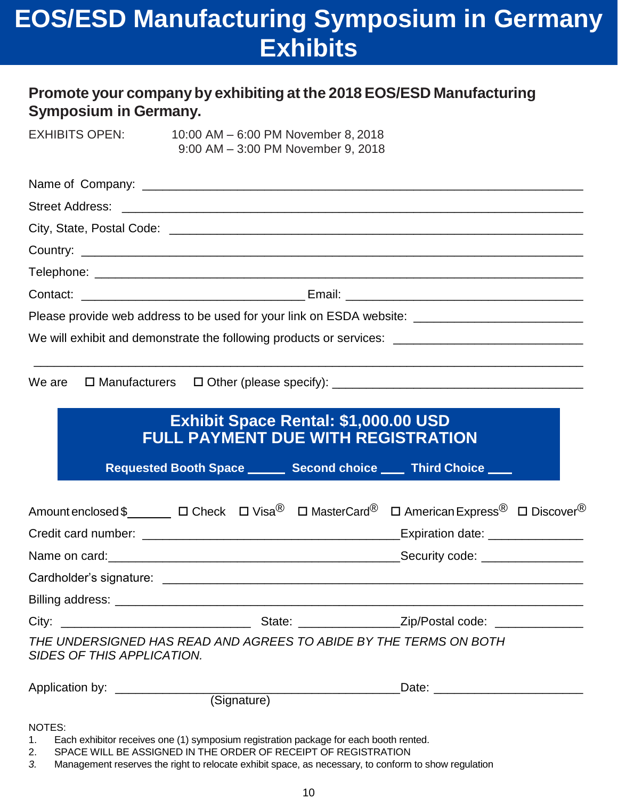# **EOS/ESD Manufacturing Symposium in Germany Exhibits**

### **Promote your companyby exhibiting at the 2018 EOS/ESD Manufacturing Symposium in Germany.**

EXHIBITS OPEN: 10:00 AM – 6:00 PM November 8, 2018 9:00 AM – 3:00 PM November 9, 2018

| Please provide web address to be used for your link on ESDA website: _______________________________                                       |                                                                                                                                                         |  |                                                                                                                                                                                                                                |  |
|--------------------------------------------------------------------------------------------------------------------------------------------|---------------------------------------------------------------------------------------------------------------------------------------------------------|--|--------------------------------------------------------------------------------------------------------------------------------------------------------------------------------------------------------------------------------|--|
| We will exhibit and demonstrate the following products or services: _______________________________                                        |                                                                                                                                                         |  |                                                                                                                                                                                                                                |  |
| We are                                                                                                                                     |                                                                                                                                                         |  |                                                                                                                                                                                                                                |  |
|                                                                                                                                            | <b>Exhibit Space Rental: \$1,000.00 USD</b><br><b>FULL PAYMENT DUE WITH REGISTRATION</b>                                                                |  | Requested Booth Space _______ Second choice ____ Third Choice ____                                                                                                                                                             |  |
| Amount enclosed \$_________ □ Check  □ Visa <sup>®</sup> □ MasterCard <sup>®</sup> □ American Express <sup>®</sup> □ Discover <sup>®</sup> |                                                                                                                                                         |  |                                                                                                                                                                                                                                |  |
|                                                                                                                                            |                                                                                                                                                         |  |                                                                                                                                                                                                                                |  |
|                                                                                                                                            |                                                                                                                                                         |  |                                                                                                                                                                                                                                |  |
|                                                                                                                                            |                                                                                                                                                         |  |                                                                                                                                                                                                                                |  |
| City: $\_\_$                                                                                                                               |                                                                                                                                                         |  |                                                                                                                                                                                                                                |  |
| THE UNDERSIGNED HAS READ AND AGREES TO ABIDE BY THE TERMS ON BOTH<br>SIDES OF THIS APPLICATION.                                            |                                                                                                                                                         |  |                                                                                                                                                                                                                                |  |
|                                                                                                                                            |                                                                                                                                                         |  | Date: the contract of the contract of the contract of the contract of the contract of the contract of the contract of the contract of the contract of the contract of the contract of the contract of the contract of the cont |  |
| NOTES:<br>1.<br>2.                                                                                                                         | Each exhibitor receives one (1) symposium registration package for each booth rented.<br>SPACE WILL BE ASSIGNED IN THE ORDER OF RECEIPT OF REGISTRATION |  |                                                                                                                                                                                                                                |  |

*3.* Management reserves the right to relocate exhibit space, as necessary, to conform to show regulation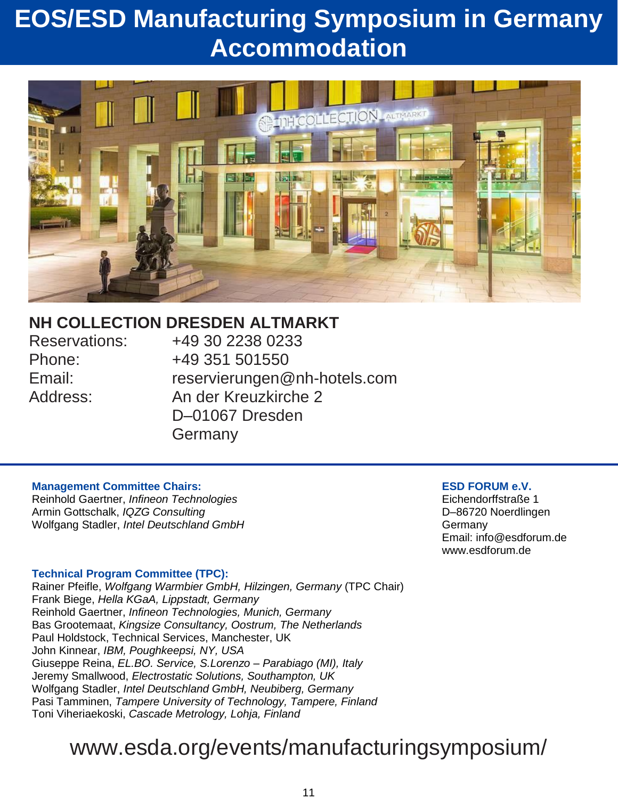# **EOS/ESD Manufacturing Symposium in Germany Accommodation**



## **NH COLLECTION DRESDEN ALTMARKT**

Reservations: +49 30 2238 0233 Phone: +49 351 501550 Email: reservierungen@nh-hotels.com Address: An der Kreuzkirche 2 D–01067 Dresden Germany

#### **Management Committee Chairs:**

Reinhold Gaertner, *Infineon Technologies* Armin Gottschalk, *IQZG Consulting* Wolfgang Stadler, *Intel Deutschland GmbH*

#### **[ESD](http://www.esda.org/events/manufacturingsymposium/) FORUM e.V.**

Eichendorffstraße 1 D–86720 Noerdlingen Germany Email: info@esdforum.de www.esdforum.de

#### **Technical Program Committee (TPC):**

Rainer Pfeifle, *Wolfgang Warmbier GmbH, Hilzingen, Germany* (TPC Chair) Frank Biege, *Hella KGaA, Lippstadt, Germany* Reinhold Gaertner, *Infineon Technologies, Munich, Germany* Bas Grootemaat, *Kingsize Consultancy, Oostrum, The Netherlands* Paul Holdstock, Technical Services, Manchester, UK John Kinnear, *IBM, Poughkeepsi, NY, USA* Giuseppe Reina, *EL.BO. Service, S.Lorenzo – Parabiago (MI), Italy* Jeremy Smallwood, *Electrostatic Solutions, Southampton, UK* Wolfgang Stadler, *Intel Deutschland GmbH, Neubiberg, Germany* Pasi Tamminen, *Tampere University of Technology, Tampere, Finland* Toni Viheriaekoski, *Cascade Metrology, Lohja, Finland*

## [www.esda.org/events/manufacturingsymposium/](http://www.esda.org/events/manufacturingsymposium/)